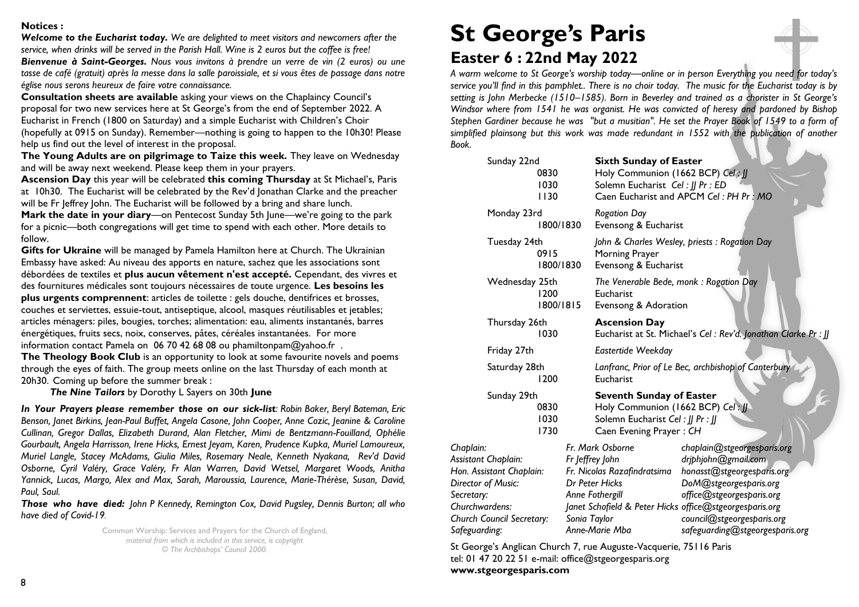## **Notices :**

*Welcome to the Eucharist today. We are delighted to meet visitors and newcomers after the service, when drinks will be served in the Parish Hall. Wine is 2 euros but the coffee is free!*

*Bienvenue à Saint-Georges. Nous vous invitons à prendre un verre de vin (2 euros) ou une tasse de café (gratuit) après la messe dans la salle paroissiale, et si vous êtes de passage dans notre église nous serons heureux de faire votre connaissance.*

**Consultation sheets are available** asking your views on the Chaplaincy Council's proposal for two new services here at St George's from the end of September 2022. A Eucharist in French (1800 on Saturday) and a simple Eucharist with Children's Choir (hopefully at 0915 on Sunday). Remember—nothing is going to happen to the 10h30! Please help us find out the level of interest in the proposal.

**The Young Adults are on pilgrimage to Taize this week.** They leave on Wednesday and will be away next weekend. Please keep them in your prayers.

**Ascension Day** this year will be celebrated **this coming Thursday** at St Michael's, Paris at 10h30. The Eucharist will be celebrated by the Rev'd Jonathan Clarke and the preacher will be Fr Jeffrey John. The Eucharist will be followed by a bring and share lunch.

**Mark the date in your diary**—on Pentecost Sunday 5th June—we're going to the park for a picnic—both congregations will get time to spend with each other. More details to follow.

**Gifts for Ukraine** will be managed by Pamela Hamilton here at Church. The Ukrainian Embassy have asked: Au niveau des apports en nature, sachez que les associations sont débordées de textiles et **plus aucun vêtement n'est accepté.** Cependant, des vivres et des fournitures médicales sont toujours nécessaires de toute urgence. **Les besoins les plus urgents comprennent**: articles de toilette : gels douche, dentifrices et brosses, couches et serviettes, essuie-tout, antiseptique, alcool, masques réutilisables et jetables; articles ménagers: piles, bougies, torches; alimentation: eau, aliments instantanés, barres énergétiques, fruits secs, noix, conserves, pâtes, céréales instantanées. For more information contact Pamela on 06 70 42 68 08 ou phamiltonpam@yahoo.fr .

**The Theology Book Club** is an opportunity to look at some favourite novels and poems through the eyes of faith. The group meets online on the last Thursday of each month at 20h30. Coming up before the summer break :

*The Nine Tailors* by Dorothy L Sayers on 30th **June**

*In Your Prayers please remember those on our sick-list: Robin Baker, Beryl Bateman, Eric Benson, Janet Birkins, Jean-Paul Buffet, Angela Casone, John Cooper, Anne Cozic, Jeanine & Caroline Cullinan, Gregor Dallas, Elizabeth Durand, Alan Fletcher, Mimi de Bentzmann-Fouilland, Ophélie Gourbault, Angela Harrisson, Irene Hicks, Ernest Jeyam, Karen, Prudence Kupka, Muriel Lamoureux, Muriel Langle, Stacey McAdams, Giulia Miles, Rosemary Neale, Kenneth Nyakana, Rev'd David Osborne, Cyril Valéry, Grace Valéry, Fr Alan Warren, David Wetsel, Margaret Woods, Anitha Yannick, Lucas, Margo, Alex and Max, Sarah, Maroussia, Laurence, Marie-Thérèse, Susan, David, Paul, Saul.* 

*Those who have died: John P Kennedy, Remington Cox, David Pugsley, Dennis Burton; all who have died of Covid-19.*

> Common Worship: Services and Prayers for the Church of England, *material from which is included in this service, is copyright © The Archbishops' Council 2000.*

# **St George's Paris Easter 6 : 22nd May 2022**



|                                                                                                                                                                  | Sunday 22nd<br>0830<br>1030<br>1130                          |                                        |                                             | <b>Sixth Sunday of Easter</b><br>Holy Communion (1662 BCP) Cel:   <br>Solemn Eucharist Cel: JJ Pr: ED<br>Caen Eucharist and APCM Cel: PH Pr: MO                                                        |                                                                                                                                                                                                                                                                     |  |  |
|------------------------------------------------------------------------------------------------------------------------------------------------------------------|--------------------------------------------------------------|----------------------------------------|---------------------------------------------|--------------------------------------------------------------------------------------------------------------------------------------------------------------------------------------------------------|---------------------------------------------------------------------------------------------------------------------------------------------------------------------------------------------------------------------------------------------------------------------|--|--|
|                                                                                                                                                                  | Monday 23rd<br>1800/1830                                     |                                        | <b>Rogation Day</b><br>Evensong & Eucharist |                                                                                                                                                                                                        |                                                                                                                                                                                                                                                                     |  |  |
| Tuesday 24th<br>Wednesday 25th                                                                                                                                   |                                                              | 0915<br>1800/1830<br>1200<br>1800/1815 |                                             | John & Charles Wesley, priests : Rogation Day<br>Morning Prayer<br>Evensong & Eucharist<br>The Venerable Bede, monk: Rogation Day<br>Eucharist<br>Evensong & Adoration                                 |                                                                                                                                                                                                                                                                     |  |  |
|                                                                                                                                                                  |                                                              |                                        |                                             |                                                                                                                                                                                                        |                                                                                                                                                                                                                                                                     |  |  |
| Friday 27th                                                                                                                                                      |                                                              |                                        | Eastertide Weekday                          |                                                                                                                                                                                                        |                                                                                                                                                                                                                                                                     |  |  |
|                                                                                                                                                                  | Saturday 28th<br>1200<br>Sunday 29th<br>0830<br>1030<br>1730 |                                        |                                             | Lanfranc, Prior of Le Bec, archbishop of Canterbury<br>Eucharist<br><b>Seventh Sunday of Easter</b><br>Holy Communion (1662 BCP) Cel: JJ<br>Solemn Eucharist Cel: JJ Pr: JJ<br>Caen Evening Prayer: CH |                                                                                                                                                                                                                                                                     |  |  |
|                                                                                                                                                                  |                                                              |                                        |                                             |                                                                                                                                                                                                        |                                                                                                                                                                                                                                                                     |  |  |
| Chaplain:<br>Assistant Chaplain:<br>Hon. Assistant Chaplain:<br>Director of Music:<br>Secretary:<br>Churchwardens:<br>Church Council Secretary:<br>Safeguarding: |                                                              |                                        | Fr Jeffrey John<br>Sonia Taylor             | Fr. Mark Osborne<br>Fr. Nicolas Razafindratsima<br>Dr Peter Hicks<br>Anne Fothergill<br>Anne-Marie Mba                                                                                                 | chaplain@stgeorgesparis.org<br>driphjohn@gmail.com<br>honasst@stgeorgesparis.org<br>DoM@stgeorgesparis.org<br>office@stgeorgesparis.org<br>Janet Schofield & Peter Hicks office@stgeorgesparis.org<br>council@stgeorgesparis.org<br>safeguarding@stgeorgesparis.org |  |  |
|                                                                                                                                                                  |                                                              |                                        |                                             | St George's Anglican Church 7, rue Auguste-Vacquerie, 75116 Paris                                                                                                                                      |                                                                                                                                                                                                                                                                     |  |  |

St George's Anglican Church 7, rue Auguste-Vacquerie, 75116 Paris tel: 01 47 20 22 51 e-mail: [office@stgeorgesparis.org](mailto:office@stgeorgesparis.com)  **[www.stgeorgesparis.com](http://www.stgeorgesparis.com/)**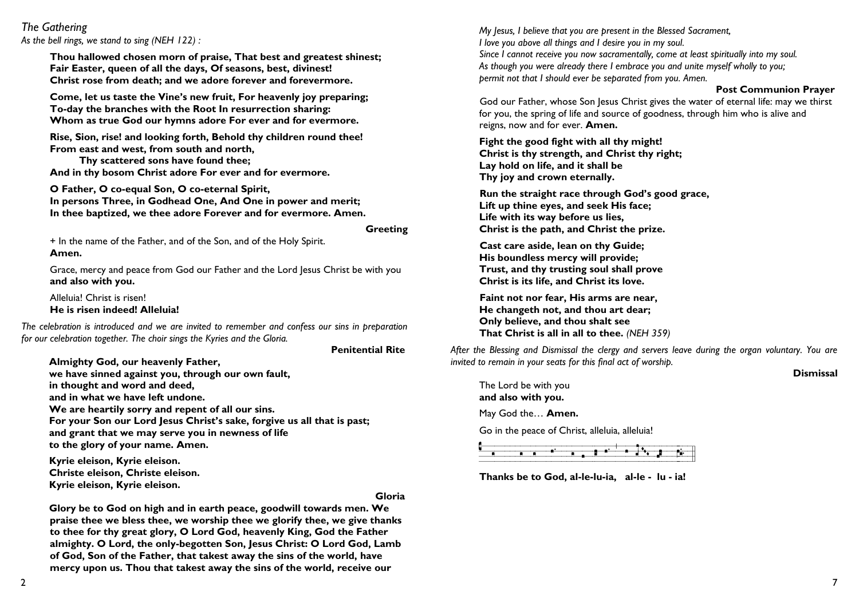*The Gathering*

*As the bell rings, we stand to sing (NEH 122) :*

**Thou hallowed chosen morn of praise, That best and greatest shinest; Fair Easter, queen of all the days, Of seasons, best, divinest! Christ rose from death; and we adore forever and forevermore.**

**Come, let us taste the Vine's new fruit, For heavenly joy preparing; To-day the branches with the Root In resurrection sharing: Whom as true God our hymns adore For ever and for evermore.**

**Rise, Sion, rise! and looking forth, Behold thy children round thee! From east and west, from south and north,** 

**Thy scattered sons have found thee; And in thy bosom Christ adore For ever and for evermore.**

**O Father, O co-equal Son, O co-eternal Spirit, In persons Three, in Godhead One, And One in power and merit; In thee baptized, we thee adore Forever and for evermore. Amen.**

**Greeting**

+ In the name of the Father, and of the Son, and of the Holy Spirit. **Amen.**

Grace, mercy and peace from God our Father and the Lord Jesus Christ be with you **and also with you.**

Alleluia! Christ is risen! **He is risen indeed! Alleluia!**

*The celebration is introduced and we are invited to remember and confess our sins in preparation for our celebration together. The choir sings the Kyries and the Gloria.*

**Penitential Rite**

**Almighty God, our heavenly Father, we have sinned against you, through our own fault, in thought and word and deed, and in what we have left undone. We are heartily sorry and repent of all our sins. For your Son our Lord Jesus Christ's sake, forgive us all that is past; and grant that we may serve you in newness of life to the glory of your name. Amen.**

**Kyrie eleison, Kyrie eleison. Christe eleison, Christe eleison. Kyrie eleison, Kyrie eleison.** 

**Gloria**

**Glory be to God on high and in earth peace, goodwill towards men. We praise thee we bless thee, we worship thee we glorify thee, we give thanks to thee for thy great glory, O Lord God, heavenly King, God the Father almighty. O Lord, the only-begotten Son, Jesus Christ: O Lord God, Lamb of God, Son of the Father, that takest away the sins of the world, have mercy upon us. Thou that takest away the sins of the world, receive our** 

*My Jesus, I believe that you are present in the Blessed Sacrament, I love you above all things and I desire you in my soul. Since I cannot receive you now sacramentally, come at least spiritually into my soul. As though you were already there I embrace you and unite myself wholly to you; permit not that I should ever be separated from you. Amen.*

#### **Post Communion Prayer**

God our Father, whose Son Jesus Christ gives the water of eternal life: may we thirst for you, the spring of life and source of goodness, through him who is alive and reigns, now and for ever. **Amen.**

**Fight the good fight with all thy might! Christ is thy strength, and Christ thy right; Lay hold on life, and it shall be Thy joy and crown eternally.**

**Run the straight race through God's good grace, Lift up thine eyes, and seek His face; Life with its way before us lies, Christ is the path, and Christ the prize.**

**Cast care aside, lean on thy Guide; His boundless mercy will provide; Trust, and thy trusting soul shall prove Christ is its life, and Christ its love.**

**Faint not nor fear, His arms are near, He changeth not, and thou art dear; Only believe, and thou shalt see That Christ is all in all to thee.** *(NEH 359)* 

*After the Blessing and Dismissal the clergy and servers leave during the organ voluntary. You are invited to remain in your seats for this final act of worship.* 

#### **Dismissal**

The Lord be with you **and also with you.** May God the… **Amen.**

Go in the peace of Christ, alleluia, alleluia!



**Thanks be to God, al-le-lu-ia, al-le - lu - ia!**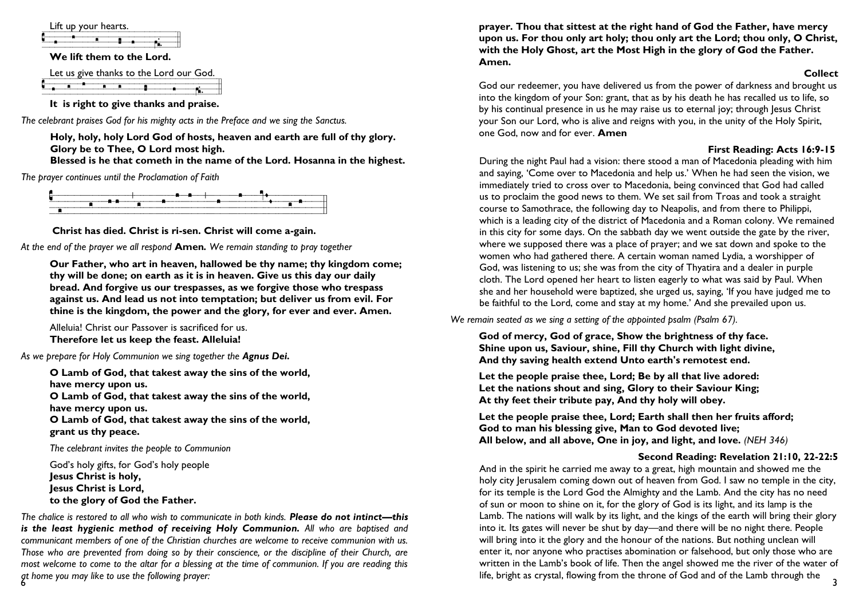| Lift up your hearts. |                           |  |
|----------------------|---------------------------|--|
|                      |                           |  |
|                      | We lift them to the Lord. |  |

Let us give thanks to the Lord our God. Let us give thanks to the Lord our God.<br> **It is right to give thanks and praise.** 

*The celebrant praises God for his mighty acts in the Preface and we sing the Sanctus.*

**Holy, holy, holy Lord God of hosts, heaven and earth are full of thy glory. Glory be to Thee, O Lord most high.**

**Blessed is he that cometh in the name of the Lord. Hosanna in the highest.** 

*The prayer continues until the Proclamation of Faith*



**Christ has died. Christ is ri-sen. Christ will come a-gain.**

*At the end of the prayer we all respond* **Amen***. We remain standing to pray together*

**Our Father, who art in heaven, hallowed be thy name; thy kingdom come; thy will be done; on earth as it is in heaven. Give us this day our daily bread. And forgive us our trespasses, as we forgive those who trespass against us. And lead us not into temptation; but deliver us from evil. For thine is the kingdom, the power and the glory, for ever and ever. Amen.**

Alleluia! Christ our Passover is sacrificed for us. **Therefore let us keep the feast. Alleluia!**

*As we prepare for Holy Communion we sing together the Agnus Dei.*

**O Lamb of God, that takest away the sins of the world, have mercy upon us. O Lamb of God, that takest away the sins of the world, have mercy upon us. O Lamb of God, that takest away the sins of the world, grant us thy peace.**

*The celebrant invites the people to Communion*

God's holy gifts, for God's holy people **Jesus Christ is holy, Jesus Christ is Lord, to the glory of God the Father.**

6 *at home you may like to use the following prayer: The chalice is restored to all who wish to communicate in both kinds. Please do not intinct—this is the least hygienic method of receiving Holy Communion. All who are baptised and communicant members of one of the Christian churches are welcome to receive communion with us. Those who are prevented from doing so by their conscience, or the discipline of their Church, are most welcome to come to the altar for a blessing at the time of communion. If you are reading this*  **prayer. Thou that sittest at the right hand of God the Father, have mercy upon us. For thou only art holy; thou only art the Lord; thou only, O Christ, with the Holy Ghost, art the Most High in the glory of God the Father. Amen.**

# **Collect**

God our redeemer, you have delivered us from the power of darkness and brought us into the kingdom of your Son: grant, that as by his death he has recalled us to life, so by his continual presence in us he may raise us to eternal joy; through Jesus Christ your Son our Lord, who is alive and reigns with you, in the unity of the Holy Spirit, one God, now and for ever. **Amen**

## **First Reading: Acts 16:9-15**

During the night Paul had a vision: there stood a man of Macedonia pleading with him and saying, 'Come over to Macedonia and help us.' When he had seen the vision, we immediately tried to cross over to Macedonia, being convinced that God had called us to proclaim the good news to them. We set sail from Troas and took a straight course to Samothrace, the following day to Neapolis, and from there to Philippi, which is a leading city of the district of Macedonia and a Roman colony. We remained in this city for some days. On the sabbath day we went outside the gate by the river, where we supposed there was a place of prayer; and we sat down and spoke to the women who had gathered there. A certain woman named Lydia, a worshipper of God, was listening to us; she was from the city of Thyatira and a dealer in purple cloth. The Lord opened her heart to listen eagerly to what was said by Paul. When she and her household were baptized, she urged us, saying, 'If you have judged me to be faithful to the Lord, come and stay at my home.' And she prevailed upon us.

*We remain seated as we sing a setting of the appointed psalm (Psalm 67).*

**God of mercy, God of grace, Show the brightness of thy face. Shine upon us, Saviour, shine, Fill thy Church with light divine, And thy saving health extend Unto earth's remotest end.**

**Let the people praise thee, Lord; Be by all that live adored: Let the nations shout and sing, Glory to their Saviour King; At thy feet their tribute pay, And thy holy will obey.**

**Let the people praise thee, Lord; Earth shall then her fruits afford; God to man his blessing give, Man to God devoted live; All below, and all above, One in joy, and light, and love.** *(NEH 346)*

# **Second Reading: Revelation 21:10, 22-22:5**

And in the spirit he carried me away to a great, high mountain and showed me the holy city Jerusalem coming down out of heaven from God. I saw no temple in the city, for its temple is the Lord God the Almighty and the Lamb. And the city has no need of sun or moon to shine on it, for the glory of God is its light, and its lamp is the Lamb. The nations will walk by its light, and the kings of the earth will bring their glory into it. Its gates will never be shut by day—and there will be no night there. People will bring into it the glory and the honour of the nations. But nothing unclean will enter it, nor anyone who practises abomination or falsehood, but only those who are written in the Lamb's book of life. Then the angel showed me the river of the water of life, bright as crystal, flowing from the throne of God and of the Lamb through the